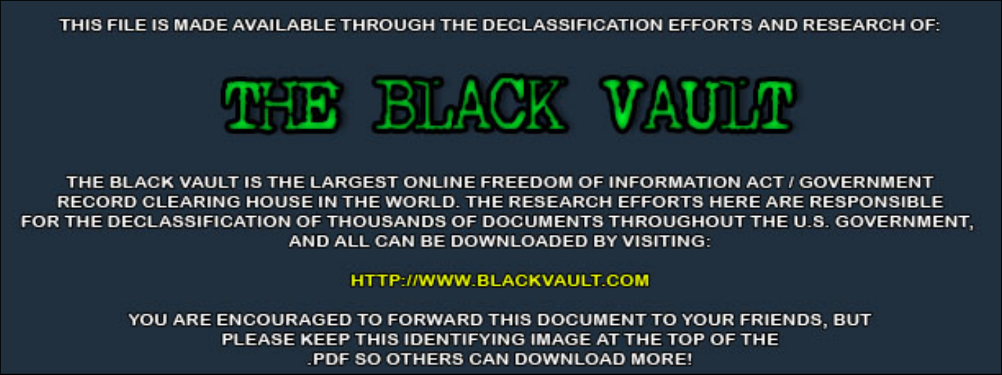THIS FILE IS MADE AVAILABLE THROUGH THE DECLASSIFICATION EFFORTS AND RESEARCH OF:



THE BLACK VAULT IS THE LARGEST ONLINE FREEDOM OF INFORMATION ACT / GOVERNMENT RECORD CLEARING HOUSE IN THE WORLD. THE RESEARCH EFFORTS HERE ARE RESPONSIBLE FOR THE DECLASSIFICATION OF THOUSANDS OF DOCUMENTS THROUGHOUT THE U.S. GOVERNMENT, AND ALL CAN BE DOWNLOADED BY VISITING:

**HTTP://WWW.BLACKVAULT.COM** 

YOU ARE ENCOURAGED TO FORWARD THIS DOCUMENT TO YOUR FRIENDS, BUT PLEASE KEEP THIS IDENTIFYING IMAGE AT THE TOP OF THE PDF SO OTHERS CAN DOWNLOAD MORE!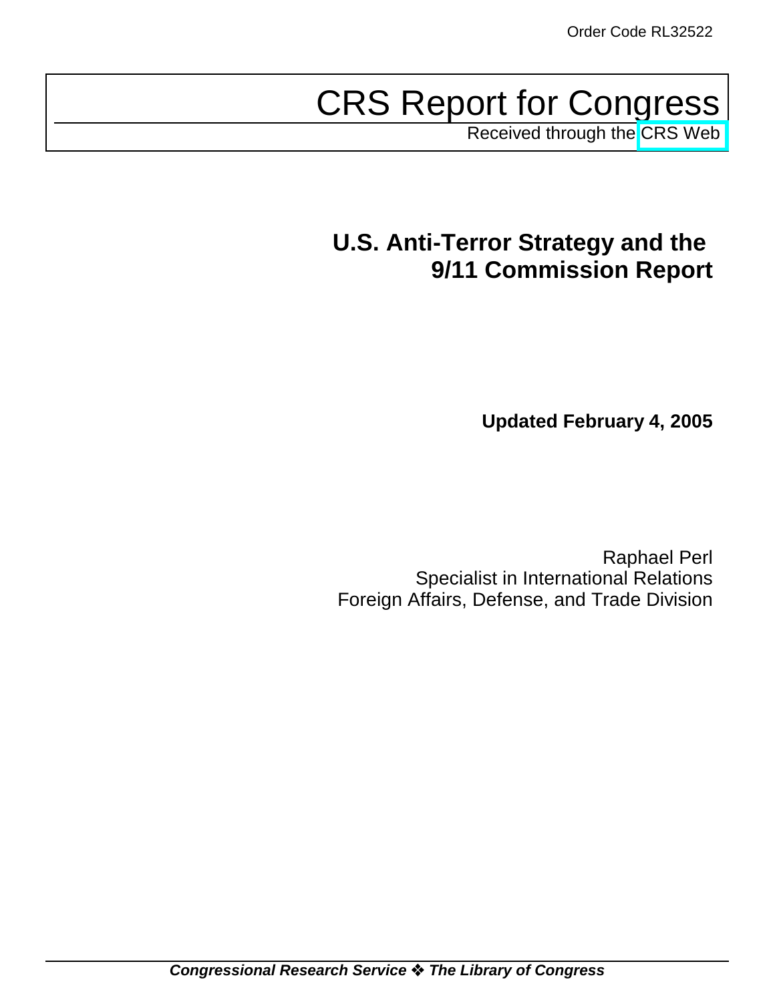# CRS Report for Congress

Received through the [CRS Web](http://www.fas.org/sgp/crs/terror/index.html)

# **U.S. Anti-Terror Strategy and the 9/11 Commission Report**

**Updated February 4, 2005**

Raphael Perl Specialist in International Relations Foreign Affairs, Defense, and Trade Division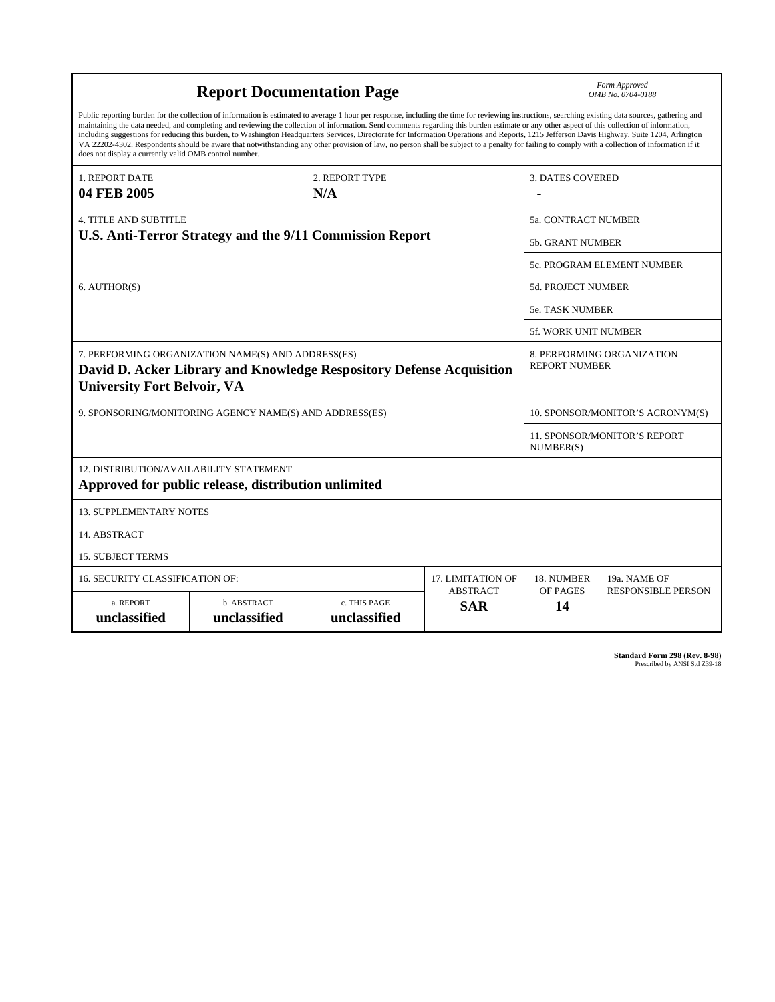| <b>Report Documentation Page</b>                                                                                                                                                                                                                                                                                                                                                                                                                                                                                                                                                                                                                                                                                                                                                                                                                                   |                             |                              |                               | Form Approved<br>OMB No. 0704-0188               |                           |  |
|--------------------------------------------------------------------------------------------------------------------------------------------------------------------------------------------------------------------------------------------------------------------------------------------------------------------------------------------------------------------------------------------------------------------------------------------------------------------------------------------------------------------------------------------------------------------------------------------------------------------------------------------------------------------------------------------------------------------------------------------------------------------------------------------------------------------------------------------------------------------|-----------------------------|------------------------------|-------------------------------|--------------------------------------------------|---------------------------|--|
| Public reporting burden for the collection of information is estimated to average 1 hour per response, including the time for reviewing instructions, searching existing data sources, gathering and<br>maintaining the data needed, and completing and reviewing the collection of information. Send comments regarding this burden estimate or any other aspect of this collection of information,<br>including suggestions for reducing this burden, to Washington Headquarters Services, Directorate for Information Operations and Reports, 1215 Jefferson Davis Highway, Suite 1204, Arlington<br>VA 22202-4302. Respondents should be aware that notwithstanding any other provision of law, no person shall be subject to a penalty for failing to comply with a collection of information if it<br>does not display a currently valid OMB control number. |                             |                              |                               |                                                  |                           |  |
| <b>1. REPORT DATE</b><br>04 FEB 2005                                                                                                                                                                                                                                                                                                                                                                                                                                                                                                                                                                                                                                                                                                                                                                                                                               | 2. REPORT TYPE<br>N/A       |                              |                               | <b>3. DATES COVERED</b>                          |                           |  |
| <b>4. TITLE AND SUBTITLE</b><br>U.S. Anti-Terror Strategy and the 9/11 Commission Report                                                                                                                                                                                                                                                                                                                                                                                                                                                                                                                                                                                                                                                                                                                                                                           |                             |                              |                               | 5a. CONTRACT NUMBER                              |                           |  |
|                                                                                                                                                                                                                                                                                                                                                                                                                                                                                                                                                                                                                                                                                                                                                                                                                                                                    |                             |                              |                               | 5b. GRANT NUMBER                                 |                           |  |
|                                                                                                                                                                                                                                                                                                                                                                                                                                                                                                                                                                                                                                                                                                                                                                                                                                                                    |                             |                              |                               | 5c. PROGRAM ELEMENT NUMBER                       |                           |  |
| 6. AUTHOR(S)                                                                                                                                                                                                                                                                                                                                                                                                                                                                                                                                                                                                                                                                                                                                                                                                                                                       |                             |                              |                               | 5d. PROJECT NUMBER                               |                           |  |
|                                                                                                                                                                                                                                                                                                                                                                                                                                                                                                                                                                                                                                                                                                                                                                                                                                                                    |                             |                              |                               | <b>5e. TASK NUMBER</b>                           |                           |  |
|                                                                                                                                                                                                                                                                                                                                                                                                                                                                                                                                                                                                                                                                                                                                                                                                                                                                    |                             |                              |                               | 5f. WORK UNIT NUMBER                             |                           |  |
| 7. PERFORMING ORGANIZATION NAME(S) AND ADDRESS(ES)<br>8. PERFORMING ORGANIZATION<br><b>REPORT NUMBER</b><br>David D. Acker Library and Knowledge Respository Defense Acquisition<br><b>University Fort Belvoir, VA</b>                                                                                                                                                                                                                                                                                                                                                                                                                                                                                                                                                                                                                                             |                             |                              |                               |                                                  |                           |  |
| 9. SPONSORING/MONITORING AGENCY NAME(S) AND ADDRESS(ES)                                                                                                                                                                                                                                                                                                                                                                                                                                                                                                                                                                                                                                                                                                                                                                                                            |                             |                              |                               | 10. SPONSOR/MONITOR'S ACRONYM(S)                 |                           |  |
|                                                                                                                                                                                                                                                                                                                                                                                                                                                                                                                                                                                                                                                                                                                                                                                                                                                                    |                             |                              |                               | <b>11. SPONSOR/MONITOR'S REPORT</b><br>NUMBER(S) |                           |  |
| 12. DISTRIBUTION/AVAILABILITY STATEMENT<br>Approved for public release, distribution unlimited                                                                                                                                                                                                                                                                                                                                                                                                                                                                                                                                                                                                                                                                                                                                                                     |                             |                              |                               |                                                  |                           |  |
| <b>13. SUPPLEMENTARY NOTES</b>                                                                                                                                                                                                                                                                                                                                                                                                                                                                                                                                                                                                                                                                                                                                                                                                                                     |                             |                              |                               |                                                  |                           |  |
| 14. ABSTRACT                                                                                                                                                                                                                                                                                                                                                                                                                                                                                                                                                                                                                                                                                                                                                                                                                                                       |                             |                              |                               |                                                  |                           |  |
| <b>15. SUBJECT TERMS</b>                                                                                                                                                                                                                                                                                                                                                                                                                                                                                                                                                                                                                                                                                                                                                                                                                                           |                             |                              |                               |                                                  |                           |  |
| 16. SECURITY CLASSIFICATION OF:                                                                                                                                                                                                                                                                                                                                                                                                                                                                                                                                                                                                                                                                                                                                                                                                                                    |                             |                              | 17. LIMITATION OF             | 18. NUMBER<br>OF PAGES                           | 19a. NAME OF              |  |
| a. REPORT<br>unclassified                                                                                                                                                                                                                                                                                                                                                                                                                                                                                                                                                                                                                                                                                                                                                                                                                                          | b. ABSTRACT<br>unclassified | c. THIS PAGE<br>unclassified | <b>ABSTRACT</b><br><b>SAR</b> | 14                                               | <b>RESPONSIBLE PERSON</b> |  |

**Standard Form 298 (Rev. 8-98)**<br>Prescribed by ANSI Std Z39-18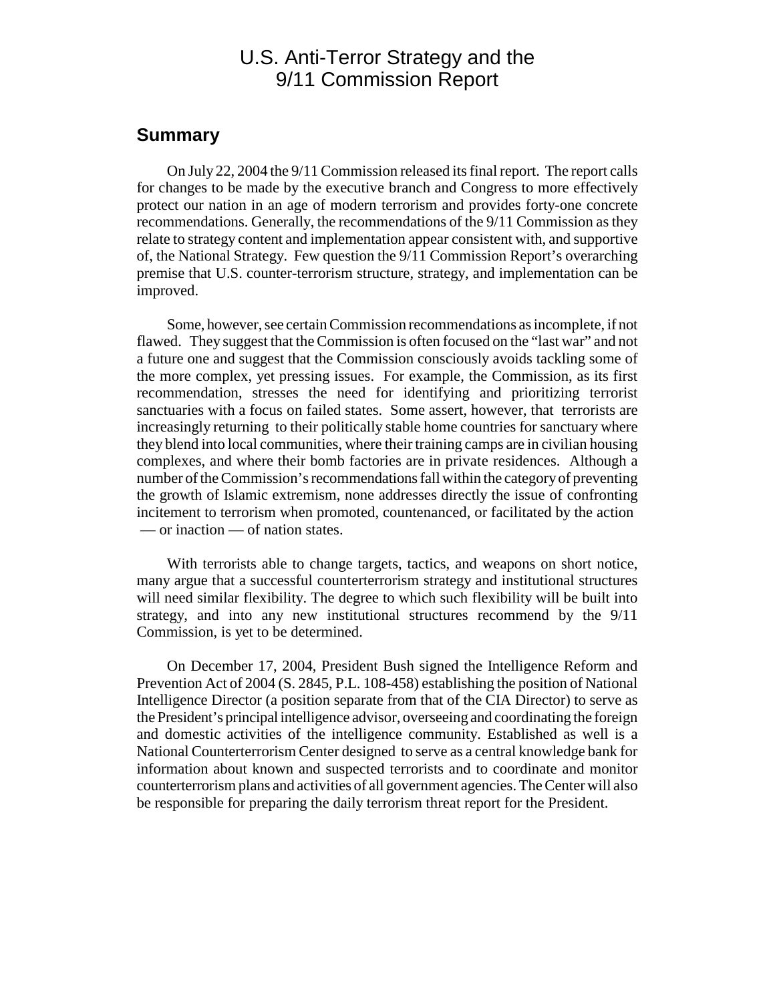## U.S. Anti-Terror Strategy and the 9/11 Commission Report

#### **Summary**

On July 22, 2004 the 9/11 Commission released its final report. The report calls for changes to be made by the executive branch and Congress to more effectively protect our nation in an age of modern terrorism and provides forty-one concrete recommendations. Generally, the recommendations of the 9/11 Commission as they relate to strategy content and implementation appear consistent with, and supportive of, the National Strategy. Few question the 9/11 Commission Report's overarching premise that U.S. counter-terrorism structure, strategy, and implementation can be improved.

Some, however, see certain Commission recommendations as incomplete, if not flawed. They suggest that the Commission is often focused on the "last war" and not a future one and suggest that the Commission consciously avoids tackling some of the more complex, yet pressing issues. For example, the Commission, as its first recommendation, stresses the need for identifying and prioritizing terrorist sanctuaries with a focus on failed states. Some assert, however, that terrorists are increasingly returning to their politically stable home countries for sanctuary where they blend into local communities, where their training camps are in civilian housing complexes, and where their bomb factories are in private residences. Although a number of the Commission's recommendations fall within the category of preventing the growth of Islamic extremism, none addresses directly the issue of confronting incitement to terrorism when promoted, countenanced, or facilitated by the action — or inaction — of nation states.

With terrorists able to change targets, tactics, and weapons on short notice, many argue that a successful counterterrorism strategy and institutional structures will need similar flexibility. The degree to which such flexibility will be built into strategy, and into any new institutional structures recommend by the 9/11 Commission, is yet to be determined.

On December 17, 2004, President Bush signed the Intelligence Reform and Prevention Act of 2004 (S. 2845, P.L. 108-458) establishing the position of National Intelligence Director (a position separate from that of the CIA Director) to serve as the President's principal intelligence advisor, overseeing and coordinating the foreign and domestic activities of the intelligence community. Established as well is a National Counterterrorism Center designed to serve as a central knowledge bank for information about known and suspected terrorists and to coordinate and monitor counterterrorism plans and activities of all government agencies. The Center will also be responsible for preparing the daily terrorism threat report for the President.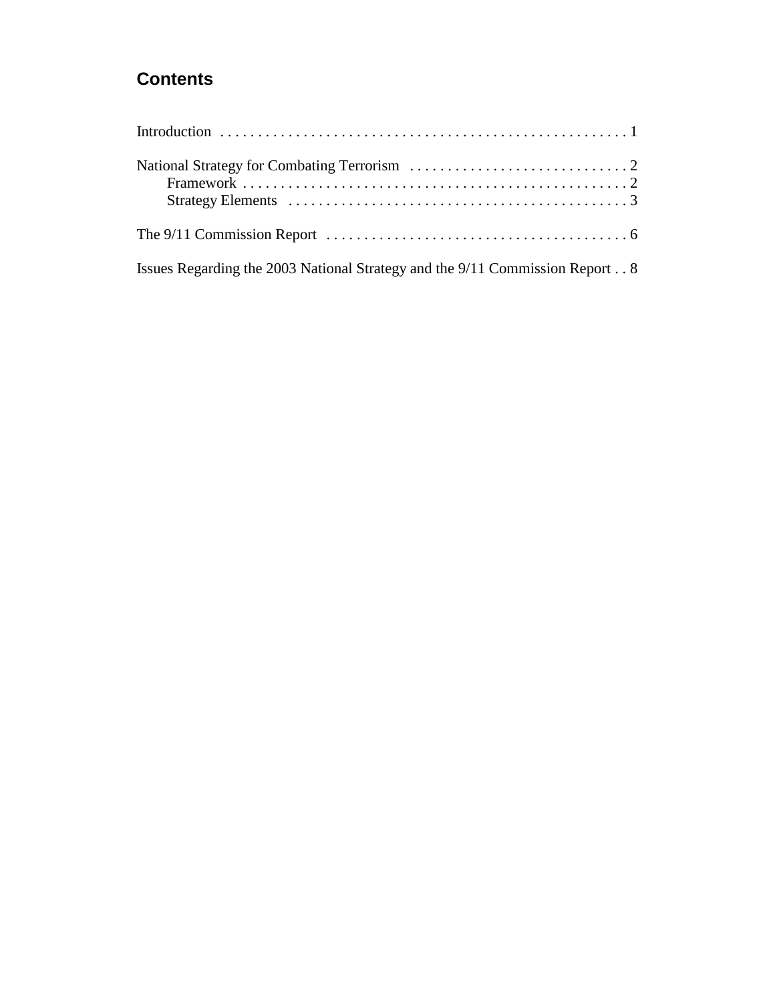# **Contents**

| Issues Regarding the 2003 National Strategy and the 9/11 Commission Report 8 |
|------------------------------------------------------------------------------|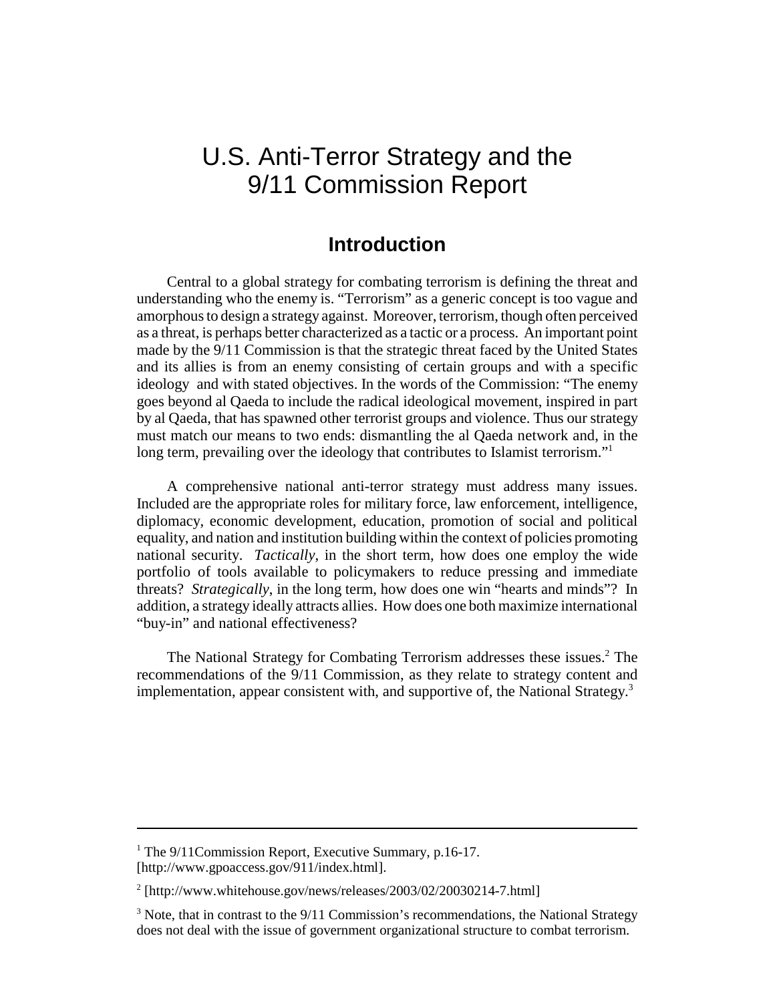# U.S. Anti-Terror Strategy and the 9/11 Commission Report

#### **Introduction**

Central to a global strategy for combating terrorism is defining the threat and understanding who the enemy is. "Terrorism" as a generic concept is too vague and amorphous to design a strategy against. Moreover, terrorism, though often perceived as a threat, is perhaps better characterized as a tactic or a process. An important point made by the 9/11 Commission is that the strategic threat faced by the United States and its allies is from an enemy consisting of certain groups and with a specific ideology and with stated objectives. In the words of the Commission: "The enemy goes beyond al Qaeda to include the radical ideological movement, inspired in part by al Qaeda, that has spawned other terrorist groups and violence. Thus our strategy must match our means to two ends: dismantling the al Qaeda network and, in the long term, prevailing over the ideology that contributes to Islamist terrorism."<sup>1</sup>

A comprehensive national anti-terror strategy must address many issues. Included are the appropriate roles for military force, law enforcement, intelligence, diplomacy, economic development, education, promotion of social and political equality, and nation and institution building within the context of policies promoting national security. *Tactically*, in the short term, how does one employ the wide portfolio of tools available to policymakers to reduce pressing and immediate threats? *Strategically*, in the long term, how does one win "hearts and minds"? In addition, a strategy ideally attracts allies. How does one both maximize international "buy-in" and national effectiveness?

The National Strategy for Combating Terrorism addresses these issues.<sup>2</sup> The recommendations of the 9/11 Commission, as they relate to strategy content and implementation, appear consistent with, and supportive of, the National Strategy.<sup>3</sup>

<sup>&</sup>lt;sup>1</sup> The 9/11 Commission Report, Executive Summary, p.16-17. [http://www.gpoaccess.gov/911/index.html].

<sup>&</sup>lt;sup>2</sup> [http://www.whitehouse.gov/news/releases/2003/02/20030214-7.html]

 $3$  Note, that in contrast to the  $9/11$  Commission's recommendations, the National Strategy does not deal with the issue of government organizational structure to combat terrorism.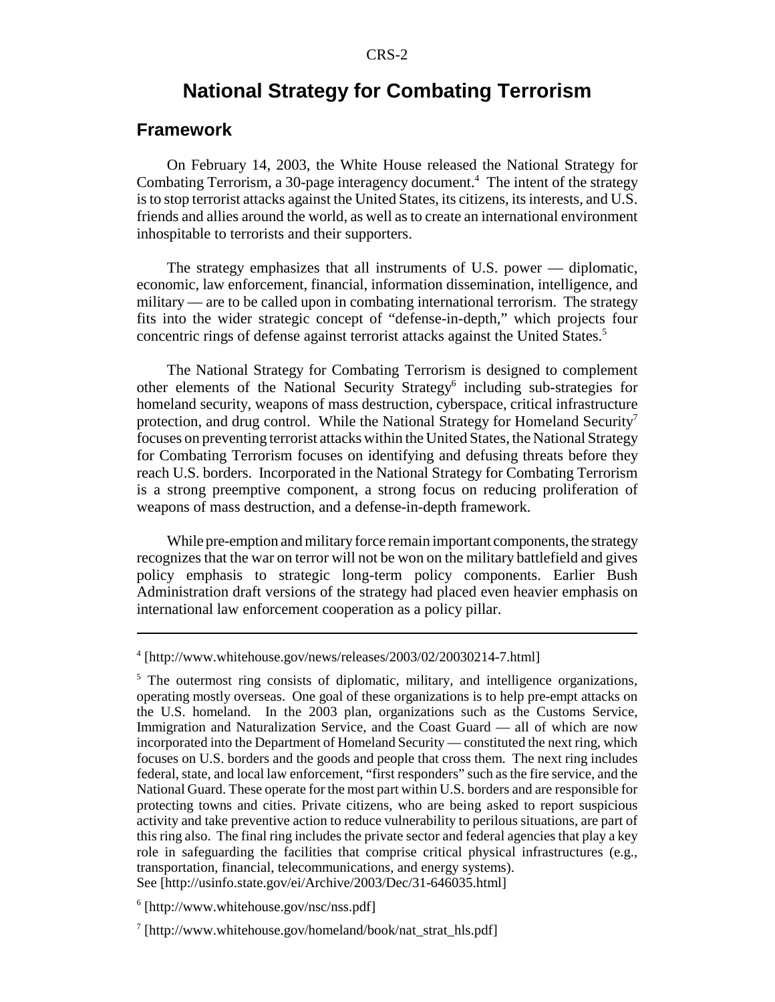### **National Strategy for Combating Terrorism**

#### **Framework**

On February 14, 2003, the White House released the National Strategy for Combating Terrorism, a 30-page interagency document.<sup>4</sup> The intent of the strategy is to stop terrorist attacks against the United States, its citizens, its interests, and U.S. friends and allies around the world, as well as to create an international environment inhospitable to terrorists and their supporters.

The strategy emphasizes that all instruments of U.S. power — diplomatic, economic, law enforcement, financial, information dissemination, intelligence, and military — are to be called upon in combating international terrorism. The strategy fits into the wider strategic concept of "defense-in-depth," which projects four concentric rings of defense against terrorist attacks against the United States.<sup>5</sup>

The National Strategy for Combating Terrorism is designed to complement other elements of the National Security Strategy<sup>6</sup> including sub-strategies for homeland security, weapons of mass destruction, cyberspace, critical infrastructure protection, and drug control. While the National Strategy for Homeland Security<sup>7</sup> focuses on preventing terrorist attacks within the United States, the National Strategy for Combating Terrorism focuses on identifying and defusing threats before they reach U.S. borders. Incorporated in the National Strategy for Combating Terrorism is a strong preemptive component, a strong focus on reducing proliferation of weapons of mass destruction, and a defense-in-depth framework.

While pre-emption and military force remain important components, the strategy recognizes that the war on terror will not be won on the military battlefield and gives policy emphasis to strategic long-term policy components. Earlier Bush Administration draft versions of the strategy had placed even heavier emphasis on international law enforcement cooperation as a policy pillar.

See [http://usinfo.state.gov/ei/Archive/2003/Dec/31-646035.html]

<sup>4</sup> [http://www.whitehouse.gov/news/releases/2003/02/20030214-7.html]

<sup>&</sup>lt;sup>5</sup> The outermost ring consists of diplomatic, military, and intelligence organizations, operating mostly overseas. One goal of these organizations is to help pre-empt attacks on the U.S. homeland. In the 2003 plan, organizations such as the Customs Service, Immigration and Naturalization Service, and the Coast Guard — all of which are now incorporated into the Department of Homeland Security — constituted the next ring, which focuses on U.S. borders and the goods and people that cross them. The next ring includes federal, state, and local law enforcement, "first responders" such as the fire service, and the National Guard. These operate for the most part within U.S. borders and are responsible for protecting towns and cities. Private citizens, who are being asked to report suspicious activity and take preventive action to reduce vulnerability to perilous situations, are part of this ring also. The final ring includes the private sector and federal agencies that play a key role in safeguarding the facilities that comprise critical physical infrastructures (e.g., transportation, financial, telecommunications, and energy systems).

<sup>6</sup> [http://www.whitehouse.gov/nsc/nss.pdf]

<sup>7</sup> [http://www.whitehouse.gov/homeland/book/nat\_strat\_hls.pdf]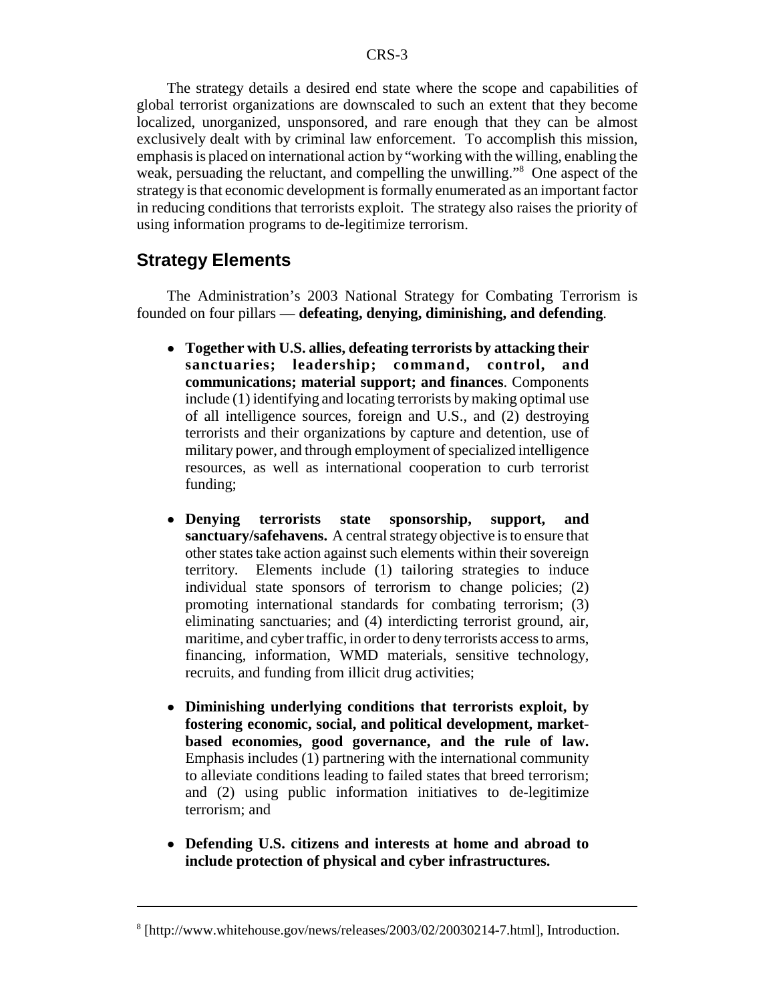The strategy details a desired end state where the scope and capabilities of global terrorist organizations are downscaled to such an extent that they become localized, unorganized, unsponsored, and rare enough that they can be almost exclusively dealt with by criminal law enforcement. To accomplish this mission, emphasis is placed on international action by "working with the willing, enabling the weak, persuading the reluctant, and compelling the unwilling."<sup>8</sup> One aspect of the strategy is that economic development is formally enumerated as an important factor in reducing conditions that terrorists exploit. The strategy also raises the priority of using information programs to de-legitimize terrorism.

#### **Strategy Elements**

The Administration's 2003 National Strategy for Combating Terrorism is founded on four pillars — **defeating, denying, diminishing, and defending**.

- ! **Together with U.S. allies, defeating terrorists by attacking their sanctuaries; leadership; command, control, and communications; material support; and finances**. Components include (1) identifying and locating terrorists by making optimal use of all intelligence sources, foreign and U.S., and (2) destroying terrorists and their organizations by capture and detention, use of military power, and through employment of specialized intelligence resources, as well as international cooperation to curb terrorist funding;
- ! **Denying terrorists state sponsorship, support, and sanctuary/safehavens.** A central strategy objective is to ensure that other states take action against such elements within their sovereign territory. Elements include (1) tailoring strategies to induce individual state sponsors of terrorism to change policies; (2) promoting international standards for combating terrorism; (3) eliminating sanctuaries; and (4) interdicting terrorist ground, air, maritime, and cyber traffic, in order to deny terrorists access to arms, financing, information, WMD materials, sensitive technology, recruits, and funding from illicit drug activities;
- ! **Diminishing underlying conditions that terrorists exploit, by fostering economic, social, and political development, marketbased economies, good governance, and the rule of law.** Emphasis includes (1) partnering with the international community to alleviate conditions leading to failed states that breed terrorism; and (2) using public information initiatives to de-legitimize terrorism; and
- ! **Defending U.S. citizens and interests at home and abroad to include protection of physical and cyber infrastructures.**

<sup>8</sup> [http://www.whitehouse.gov/news/releases/2003/02/20030214-7.html], Introduction.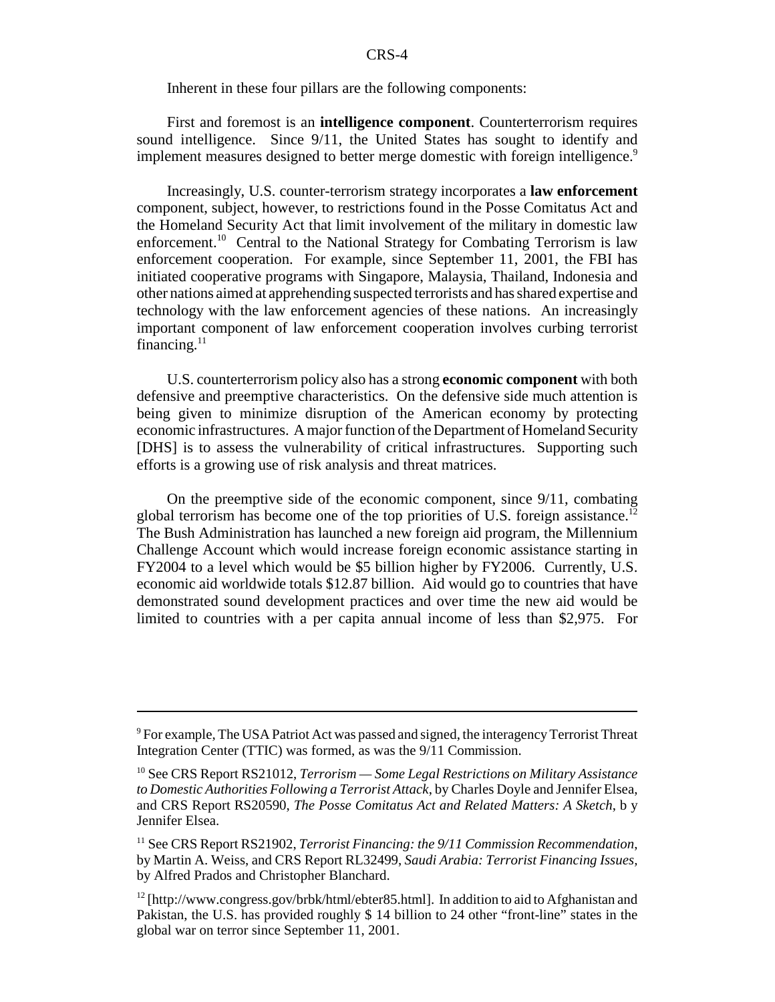Inherent in these four pillars are the following components:

First and foremost is an **intelligence component**. Counterterrorism requires sound intelligence. Since 9/11, the United States has sought to identify and implement measures designed to better merge domestic with foreign intelligence.<sup>9</sup>

Increasingly, U.S. counter-terrorism strategy incorporates a **law enforcement** component, subject, however, to restrictions found in the Posse Comitatus Act and the Homeland Security Act that limit involvement of the military in domestic law enforcement.<sup>10</sup> Central to the National Strategy for Combating Terrorism is law enforcement cooperation. For example, since September 11, 2001, the FBI has initiated cooperative programs with Singapore, Malaysia, Thailand, Indonesia and other nations aimed at apprehending suspected terrorists and has shared expertise and technology with the law enforcement agencies of these nations. An increasingly important component of law enforcement cooperation involves curbing terrorist financing. $11$ 

U.S. counterterrorism policy also has a strong **economic component** with both defensive and preemptive characteristics. On the defensive side much attention is being given to minimize disruption of the American economy by protecting economic infrastructures. A major function of the Department of Homeland Security [DHS] is to assess the vulnerability of critical infrastructures. Supporting such efforts is a growing use of risk analysis and threat matrices.

On the preemptive side of the economic component, since 9/11, combating global terrorism has become one of the top priorities of U.S. foreign assistance.<sup>12</sup> The Bush Administration has launched a new foreign aid program, the Millennium Challenge Account which would increase foreign economic assistance starting in FY2004 to a level which would be \$5 billion higher by FY2006. Currently, U.S. economic aid worldwide totals \$12.87 billion. Aid would go to countries that have demonstrated sound development practices and over time the new aid would be limited to countries with a per capita annual income of less than \$2,975. For

<sup>&</sup>lt;sup>9</sup> For example, The USA Patriot Act was passed and signed, the interagency Terrorist Threat Integration Center (TTIC) was formed, as was the 9/11 Commission.

<sup>10</sup> See CRS Report RS21012, *Terrorism — Some Legal Restrictions on Military Assistance to Domestic Authorities Following a Terrorist Attack*, by Charles Doyle and Jennifer Elsea, and CRS Report RS20590, *The Posse Comitatus Act and Related Matters: A Sketch*, b y Jennifer Elsea.

<sup>&</sup>lt;sup>11</sup> See CRS Report RS21902, *Terrorist Financing: the 9/11 Commission Recommendation*, by Martin A. Weiss, and CRS Report RL32499, *Saudi Arabia: Terrorist Financing Issues,* by Alfred Prados and Christopher Blanchard.

 $12$  [http://www.congress.gov/brbk/html/ebter85.html]. In addition to aid to Afghanistan and Pakistan, the U.S. has provided roughly \$ 14 billion to 24 other "front-line" states in the global war on terror since September 11, 2001.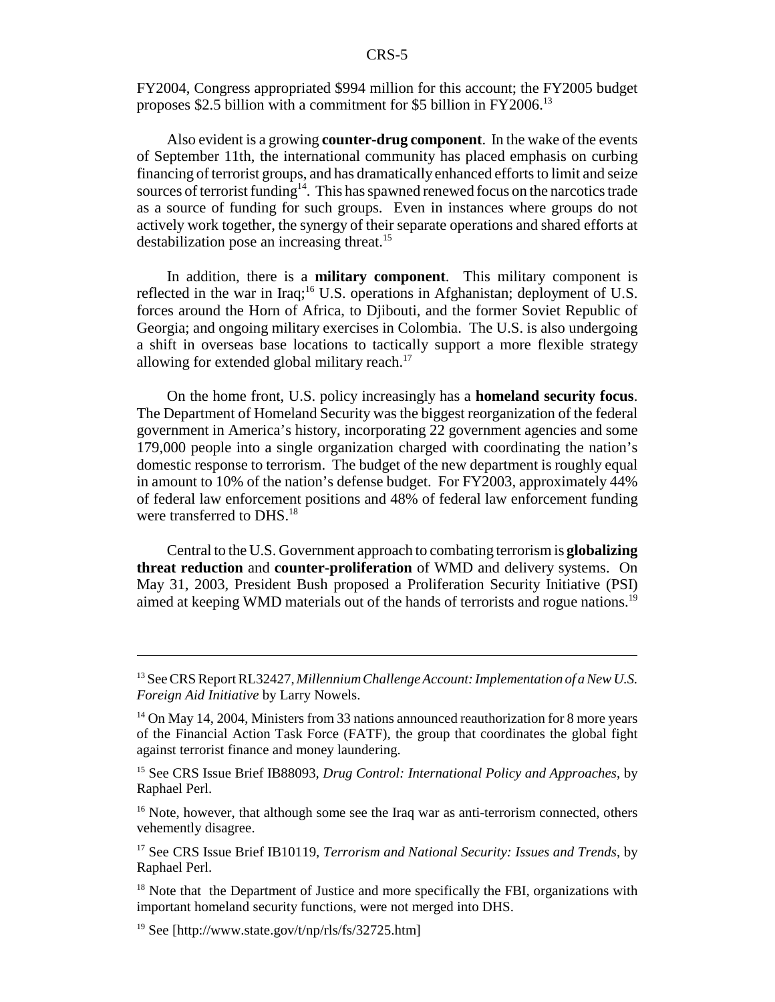FY2004, Congress appropriated \$994 million for this account; the FY2005 budget proposes \$2.5 billion with a commitment for \$5 billion in FY2006.13

Also evident is a growing **counter-drug component**. In the wake of the events of September 11th, the international community has placed emphasis on curbing financing of terrorist groups, and has dramatically enhanced efforts to limit and seize sources of terrorist funding<sup>14</sup>. This has spawned renewed focus on the narcotics trade as a source of funding for such groups. Even in instances where groups do not actively work together, the synergy of their separate operations and shared efforts at destabilization pose an increasing threat.<sup>15</sup>

In addition, there is a **military component**. This military component is reflected in the war in Iraq;<sup>16</sup> U.S. operations in Afghanistan; deployment of U.S. forces around the Horn of Africa, to Djibouti, and the former Soviet Republic of Georgia; and ongoing military exercises in Colombia. The U.S. is also undergoing a shift in overseas base locations to tactically support a more flexible strategy allowing for extended global military reach.<sup>17</sup>

On the home front, U.S. policy increasingly has a **homeland security focus**. The Department of Homeland Security was the biggest reorganization of the federal government in America's history, incorporating 22 government agencies and some 179,000 people into a single organization charged with coordinating the nation's domestic response to terrorism. The budget of the new department is roughly equal in amount to 10% of the nation's defense budget. For FY2003, approximately 44% of federal law enforcement positions and 48% of federal law enforcement funding were transferred to DHS.<sup>18</sup>

Central to the U.S. Government approach to combating terrorism is **globalizing threat reduction** and **counter-proliferation** of WMD and delivery systems. On May 31, 2003, President Bush proposed a Proliferation Security Initiative (PSI) aimed at keeping WMD materials out of the hands of terrorists and rogue nations.<sup>19</sup>

<sup>13</sup> See CRS Report RL32427, *Millennium Challenge Account: Implementation of a New U.S. Foreign Aid Initiative* by Larry Nowels.

 $14$  On May 14, 2004, Ministers from 33 nations announced reauthorization for 8 more years of the Financial Action Task Force (FATF), the group that coordinates the global fight against terrorist finance and money laundering.

<sup>15</sup> See CRS Issue Brief IB88093*, Drug Control: International Policy and Approaches*, by Raphael Perl.

<sup>&</sup>lt;sup>16</sup> Note, however, that although some see the Iraq war as anti-terrorism connected, others vehemently disagree.

<sup>17</sup> See CRS Issue Brief IB10119, *Terrorism and National Security: Issues and Trends*, by Raphael Perl.

 $18$  Note that the Department of Justice and more specifically the FBI, organizations with important homeland security functions, were not merged into DHS.

<sup>&</sup>lt;sup>19</sup> See [http://www.state.gov/t/np/rls/fs/32725.htm]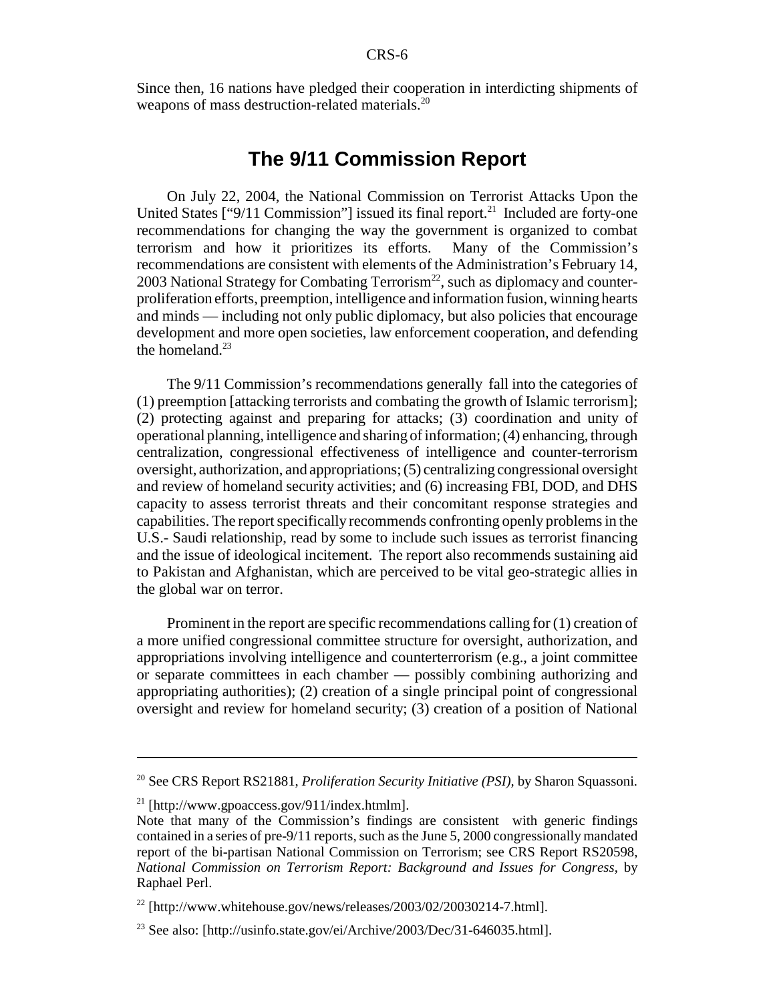Since then, 16 nations have pledged their cooperation in interdicting shipments of weapons of mass destruction-related materials.<sup>20</sup>

#### **The 9/11 Commission Report**

On July 22, 2004, the National Commission on Terrorist Attacks Upon the United States  $[$ "9/11 Commission"] issued its final report. $^{21}$  Included are forty-one recommendations for changing the way the government is organized to combat terrorism and how it prioritizes its efforts. Many of the Commission's recommendations are consistent with elements of the Administration's February 14, 2003 National Strategy for Combating Terrorism<sup>22</sup>, such as diplomacy and counterproliferation efforts, preemption, intelligence and information fusion, winning hearts and minds — including not only public diplomacy, but also policies that encourage development and more open societies, law enforcement cooperation, and defending the homeland. $^{23}$ 

The 9/11 Commission's recommendations generally fall into the categories of (1) preemption [attacking terrorists and combating the growth of Islamic terrorism]; (2) protecting against and preparing for attacks; (3) coordination and unity of operational planning, intelligence and sharing of information; (4) enhancing, through centralization, congressional effectiveness of intelligence and counter-terrorism oversight, authorization, and appropriations; (5) centralizing congressional oversight and review of homeland security activities; and (6) increasing FBI, DOD, and DHS capacity to assess terrorist threats and their concomitant response strategies and capabilities. The report specifically recommends confronting openly problems in the U.S.- Saudi relationship, read by some to include such issues as terrorist financing and the issue of ideological incitement. The report also recommends sustaining aid to Pakistan and Afghanistan, which are perceived to be vital geo-strategic allies in the global war on terror.

Prominent in the report are specific recommendations calling for (1) creation of a more unified congressional committee structure for oversight, authorization, and appropriations involving intelligence and counterterrorism (e.g., a joint committee or separate committees in each chamber — possibly combining authorizing and appropriating authorities); (2) creation of a single principal point of congressional oversight and review for homeland security; (3) creation of a position of National

<sup>20</sup> See CRS Report RS21881, *Proliferation Security Initiative (PSI),* by Sharon Squassoni*.*

<sup>&</sup>lt;sup>21</sup> [http://www.gpoaccess.gov/911/index.htmlm].

Note that many of the Commission's findings are consistent with generic findings contained in a series of pre-9/11 reports, such as the June 5, 2000 congressionally mandated report of the bi-partisan National Commission on Terrorism; see CRS Report RS20598, *National Commission on Terrorism Report: Background and Issues for Congress*, by Raphael Perl.

 $^{22}$  [http://www.whitehouse.gov/news/releases/2003/02/20030214-7.html].

<sup>&</sup>lt;sup>23</sup> See also: [http://usinfo.state.gov/ei/Archive/2003/Dec/31-646035.html].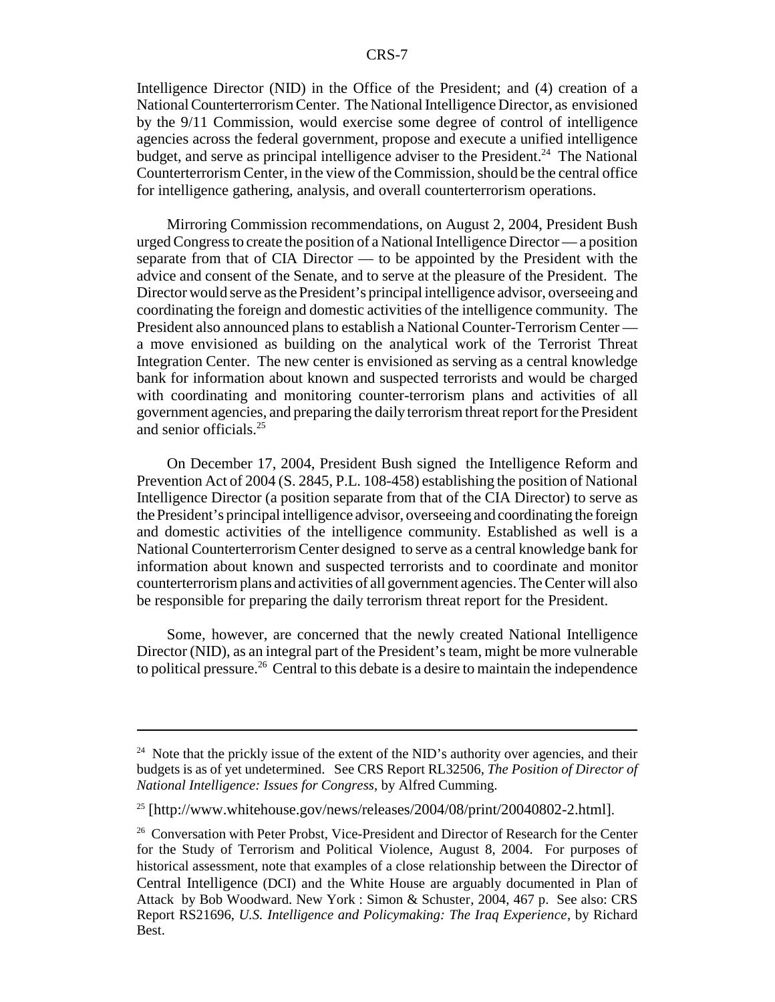Intelligence Director (NID) in the Office of the President; and (4) creation of a National Counterterrorism Center. The National Intelligence Director, as envisioned by the 9/11 Commission, would exercise some degree of control of intelligence agencies across the federal government, propose and execute a unified intelligence budget, and serve as principal intelligence adviser to the President.<sup>24</sup> The National Counterterrorism Center, in the view of the Commission, should be the central office for intelligence gathering, analysis, and overall counterterrorism operations.

Mirroring Commission recommendations, on August 2, 2004, President Bush urged Congress to create the position of a National Intelligence Director — a position separate from that of CIA Director — to be appointed by the President with the advice and consent of the Senate, and to serve at the pleasure of the President. The Director would serve as the President's principal intelligence advisor, overseeing and coordinating the foreign and domestic activities of the intelligence community. The President also announced plans to establish a National Counter-Terrorism Center a move envisioned as building on the analytical work of the Terrorist Threat Integration Center. The new center is envisioned as serving as a central knowledge bank for information about known and suspected terrorists and would be charged with coordinating and monitoring counter-terrorism plans and activities of all government agencies, and preparing the daily terrorism threat report for the President and senior officials.<sup>25</sup>

On December 17, 2004, President Bush signed the Intelligence Reform and Prevention Act of 2004 (S. 2845, P.L. 108-458) establishing the position of National Intelligence Director (a position separate from that of the CIA Director) to serve as the President's principal intelligence advisor, overseeing and coordinating the foreign and domestic activities of the intelligence community. Established as well is a National Counterterrorism Center designed to serve as a central knowledge bank for information about known and suspected terrorists and to coordinate and monitor counterterrorism plans and activities of all government agencies. The Center will also be responsible for preparing the daily terrorism threat report for the President.

Some, however, are concerned that the newly created National Intelligence Director (NID), as an integral part of the President's team, might be more vulnerable to political pressure.<sup>26</sup> Central to this debate is a desire to maintain the independence

<sup>&</sup>lt;sup>24</sup> Note that the prickly issue of the extent of the NID's authority over agencies, and their budgets is as of yet undetermined. See CRS Report RL32506, *The Position of Director of National Intelligence: Issues for Congress*, by Alfred Cumming.

<sup>&</sup>lt;sup>25</sup> [http://www.whitehouse.gov/news/releases/2004/08/print/20040802-2.html].

<sup>&</sup>lt;sup>26</sup> Conversation with Peter Probst, Vice-President and Director of Research for the Center for the Study of Terrorism and Political Violence, August 8, 2004. For purposes of historical assessment, note that examples of a close relationship between the Director of Central Intelligence (DCI) and the White House are arguably documented in Plan of Attack by Bob Woodward. New York : Simon & Schuster, 2004, 467 p. See also: CRS Report RS21696, *U.S. Intelligence and Policymaking: The Iraq Experience*, by Richard Best.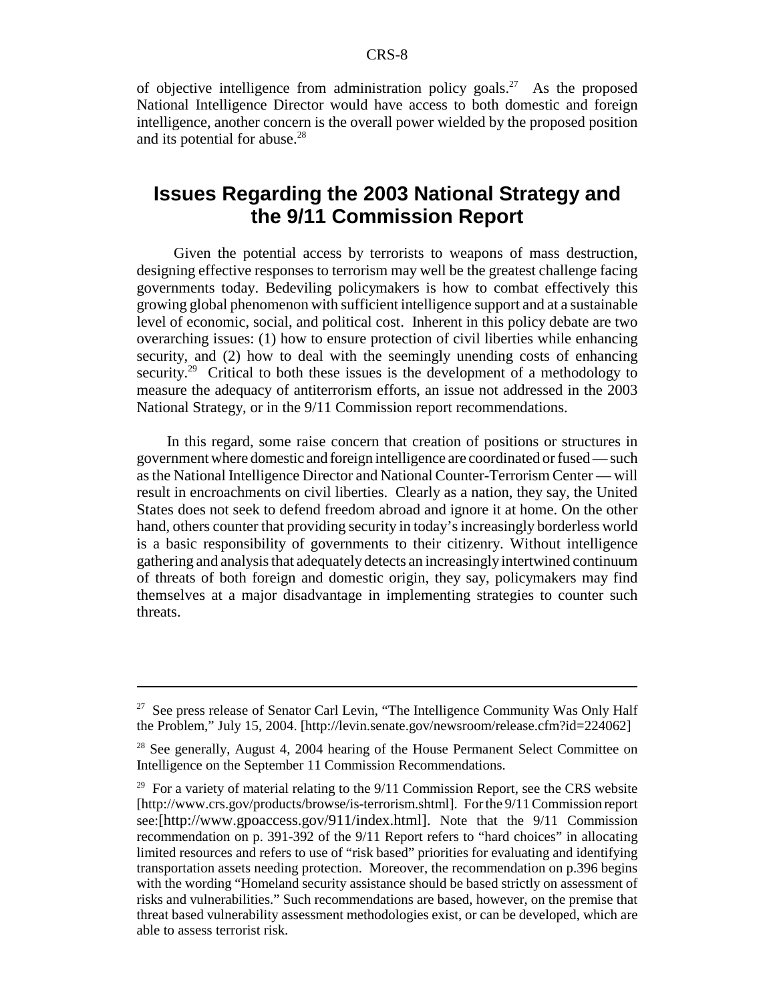of objective intelligence from administration policy goals.<sup>27</sup> As the proposed National Intelligence Director would have access to both domestic and foreign intelligence, another concern is the overall power wielded by the proposed position and its potential for abuse.<sup>28</sup>

## **Issues Regarding the 2003 National Strategy and the 9/11 Commission Report**

 Given the potential access by terrorists to weapons of mass destruction, designing effective responses to terrorism may well be the greatest challenge facing governments today. Bedeviling policymakers is how to combat effectively this growing global phenomenon with sufficient intelligence support and at a sustainable level of economic, social, and political cost. Inherent in this policy debate are two overarching issues: (1) how to ensure protection of civil liberties while enhancing security, and (2) how to deal with the seemingly unending costs of enhancing security.<sup>29</sup> Critical to both these issues is the development of a methodology to measure the adequacy of antiterrorism efforts, an issue not addressed in the 2003 National Strategy, or in the 9/11 Commission report recommendations.

In this regard, some raise concern that creation of positions or structures in government where domestic and foreign intelligence are coordinated or fused — such as the National Intelligence Director and National Counter-Terrorism Center — will result in encroachments on civil liberties. Clearly as a nation, they say, the United States does not seek to defend freedom abroad and ignore it at home. On the other hand, others counter that providing security in today's increasingly borderless world is a basic responsibility of governments to their citizenry. Without intelligence gathering and analysis that adequately detects an increasingly intertwined continuum of threats of both foreign and domestic origin, they say, policymakers may find themselves at a major disadvantage in implementing strategies to counter such threats.

<sup>&</sup>lt;sup>27</sup> See press release of Senator Carl Levin, "The Intelligence Community Was Only Half the Problem," July 15, 2004. [http://levin.senate.gov/newsroom/release.cfm?id=224062]

 $28$  See generally, August 4, 2004 hearing of the House Permanent Select Committee on Intelligence on the September 11 Commission Recommendations.

<sup>&</sup>lt;sup>29</sup> For a variety of material relating to the  $9/11$  Commission Report, see the CRS website [http://www.crs.gov/products/browse/is-terrorism.shtml]. For the 9/11 Commission report see:[http://www.gpoaccess.gov/911/index.html]. Note that the 9/11 Commission recommendation on p. 391-392 of the 9/11 Report refers to "hard choices" in allocating limited resources and refers to use of "risk based" priorities for evaluating and identifying transportation assets needing protection. Moreover, the recommendation on p.396 begins with the wording "Homeland security assistance should be based strictly on assessment of risks and vulnerabilities." Such recommendations are based, however, on the premise that threat based vulnerability assessment methodologies exist, or can be developed, which are able to assess terrorist risk.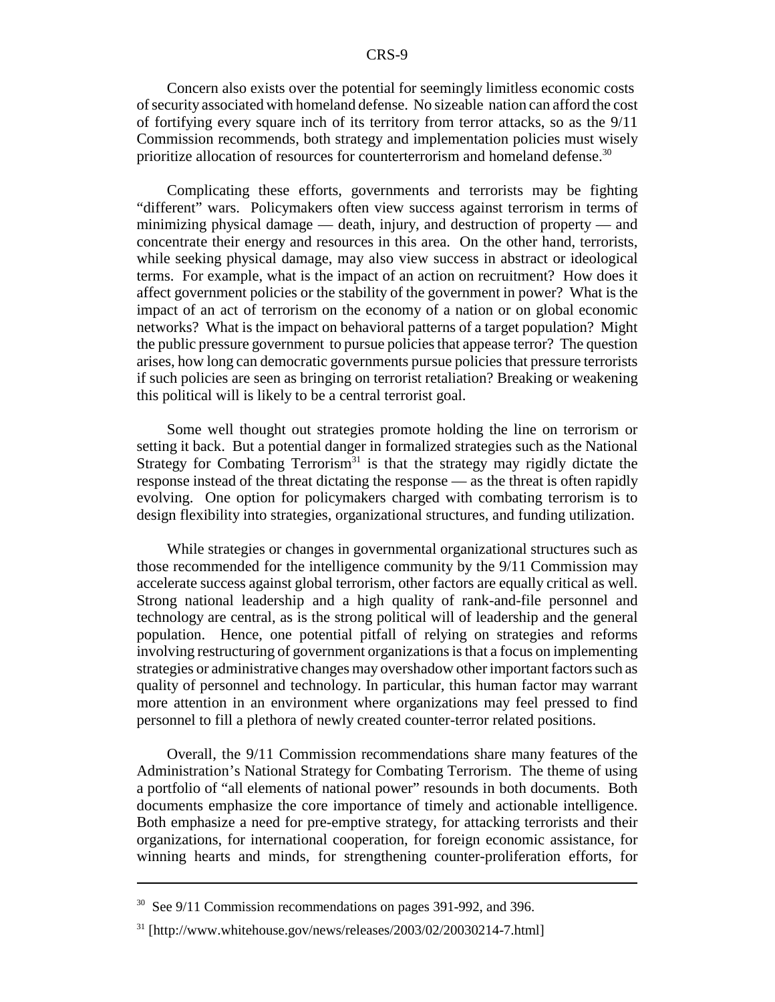Concern also exists over the potential for seemingly limitless economic costs of security associated with homeland defense. No sizeable nation can afford the cost of fortifying every square inch of its territory from terror attacks, so as the 9/11 Commission recommends, both strategy and implementation policies must wisely prioritize allocation of resources for counterterrorism and homeland defense.<sup>30</sup>

Complicating these efforts, governments and terrorists may be fighting "different" wars. Policymakers often view success against terrorism in terms of minimizing physical damage — death, injury, and destruction of property — and concentrate their energy and resources in this area. On the other hand, terrorists, while seeking physical damage, may also view success in abstract or ideological terms. For example, what is the impact of an action on recruitment? How does it affect government policies or the stability of the government in power? What is the impact of an act of terrorism on the economy of a nation or on global economic networks? What is the impact on behavioral patterns of a target population? Might the public pressure government to pursue policies that appease terror? The question arises, how long can democratic governments pursue policies that pressure terrorists if such policies are seen as bringing on terrorist retaliation? Breaking or weakening this political will is likely to be a central terrorist goal.

Some well thought out strategies promote holding the line on terrorism or setting it back. But a potential danger in formalized strategies such as the National Strategy for Combating Terrorism<sup>31</sup> is that the strategy may rigidly dictate the response instead of the threat dictating the response — as the threat is often rapidly evolving. One option for policymakers charged with combating terrorism is to design flexibility into strategies, organizational structures, and funding utilization.

While strategies or changes in governmental organizational structures such as those recommended for the intelligence community by the 9/11 Commission may accelerate success against global terrorism, other factors are equally critical as well. Strong national leadership and a high quality of rank-and-file personnel and technology are central, as is the strong political will of leadership and the general population. Hence, one potential pitfall of relying on strategies and reforms involving restructuring of government organizations is that a focus on implementing strategies or administrative changes may overshadow other important factors such as quality of personnel and technology. In particular, this human factor may warrant more attention in an environment where organizations may feel pressed to find personnel to fill a plethora of newly created counter-terror related positions.

 Overall, the 9/11 Commission recommendations share many features of the Administration's National Strategy for Combating Terrorism. The theme of using a portfolio of "all elements of national power" resounds in both documents. Both documents emphasize the core importance of timely and actionable intelligence. Both emphasize a need for pre-emptive strategy, for attacking terrorists and their organizations, for international cooperation, for foreign economic assistance, for winning hearts and minds, for strengthening counter-proliferation efforts, for

 $30$  See 9/11 Commission recommendations on pages 391-992, and 396.

<sup>31 [</sup>http://www.whitehouse.gov/news/releases/2003/02/20030214-7.html]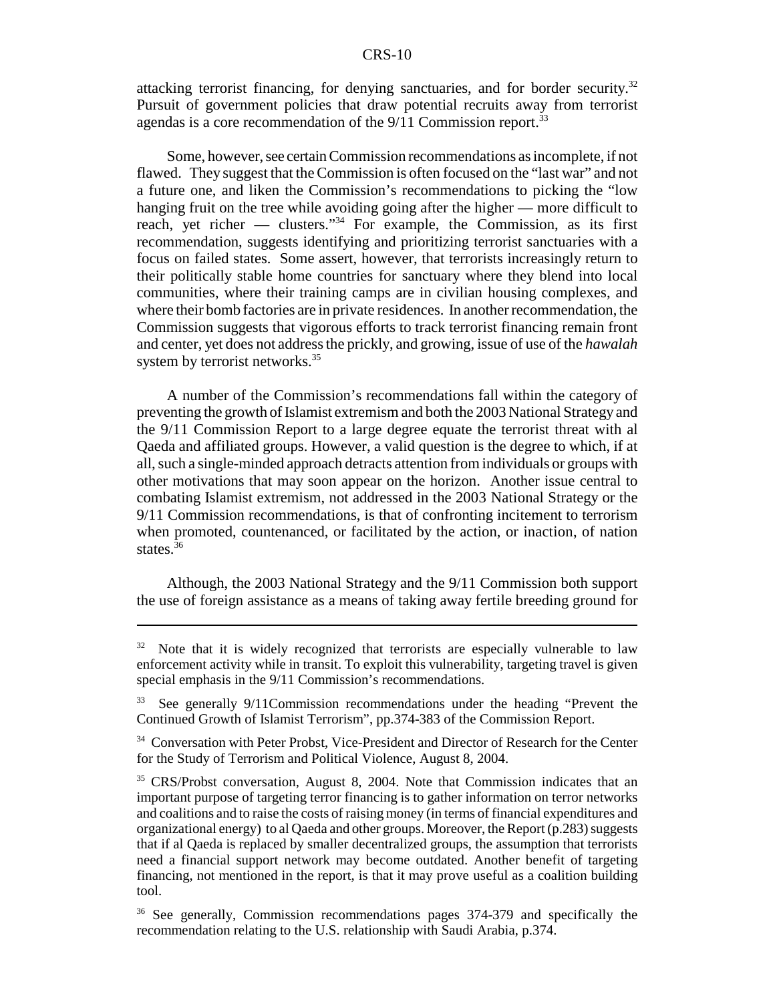#### CRS-10

attacking terrorist financing, for denying sanctuaries, and for border security.<sup>32</sup> Pursuit of government policies that draw potential recruits away from terrorist agendas is a core recommendation of the  $9/11$  Commission report.<sup>33</sup>

Some, however, see certain Commission recommendations as incomplete, if not flawed. They suggest that the Commission is often focused on the "last war" and not a future one, and liken the Commission's recommendations to picking the "low hanging fruit on the tree while avoiding going after the higher — more difficult to reach, yet richer — clusters."34 For example, the Commission, as its first recommendation, suggests identifying and prioritizing terrorist sanctuaries with a focus on failed states. Some assert, however, that terrorists increasingly return to their politically stable home countries for sanctuary where they blend into local communities, where their training camps are in civilian housing complexes, and where their bomb factories are in private residences. In another recommendation, the Commission suggests that vigorous efforts to track terrorist financing remain front and center, yet does not address the prickly, and growing, issue of use of the *hawalah* system by terrorist networks.<sup>35</sup>

A number of the Commission's recommendations fall within the category of preventing the growth of Islamist extremism and both the 2003 National Strategy and the 9/11 Commission Report to a large degree equate the terrorist threat with al Qaeda and affiliated groups. However, a valid question is the degree to which, if at all, such a single-minded approach detracts attention from individuals or groups with other motivations that may soon appear on the horizon. Another issue central to combating Islamist extremism, not addressed in the 2003 National Strategy or the 9/11 Commission recommendations, is that of confronting incitement to terrorism when promoted, countenanced, or facilitated by the action, or inaction, of nation states. $36$ 

Although, the 2003 National Strategy and the 9/11 Commission both support the use of foreign assistance as a means of taking away fertile breeding ground for

 $32$  Note that it is widely recognized that terrorists are especially vulnerable to law enforcement activity while in transit. To exploit this vulnerability, targeting travel is given special emphasis in the 9/11 Commission's recommendations.

<sup>&</sup>lt;sup>33</sup> See generally 9/11Commission recommendations under the heading "Prevent the Continued Growth of Islamist Terrorism", pp.374-383 of the Commission Report.

<sup>&</sup>lt;sup>34</sup> Conversation with Peter Probst, Vice-President and Director of Research for the Center for the Study of Terrorism and Political Violence, August 8, 2004.

<sup>&</sup>lt;sup>35</sup> CRS/Probst conversation, August 8, 2004. Note that Commission indicates that an important purpose of targeting terror financing is to gather information on terror networks and coalitions and to raise the costs of raising money (in terms of financial expenditures and organizational energy) to al Qaeda and other groups. Moreover, the Report (p.283) suggests that if al Qaeda is replaced by smaller decentralized groups, the assumption that terrorists need a financial support network may become outdated. Another benefit of targeting financing, not mentioned in the report, is that it may prove useful as a coalition building tool.

<sup>&</sup>lt;sup>36</sup> See generally, Commission recommendations pages 374-379 and specifically the recommendation relating to the U.S. relationship with Saudi Arabia, p.374.